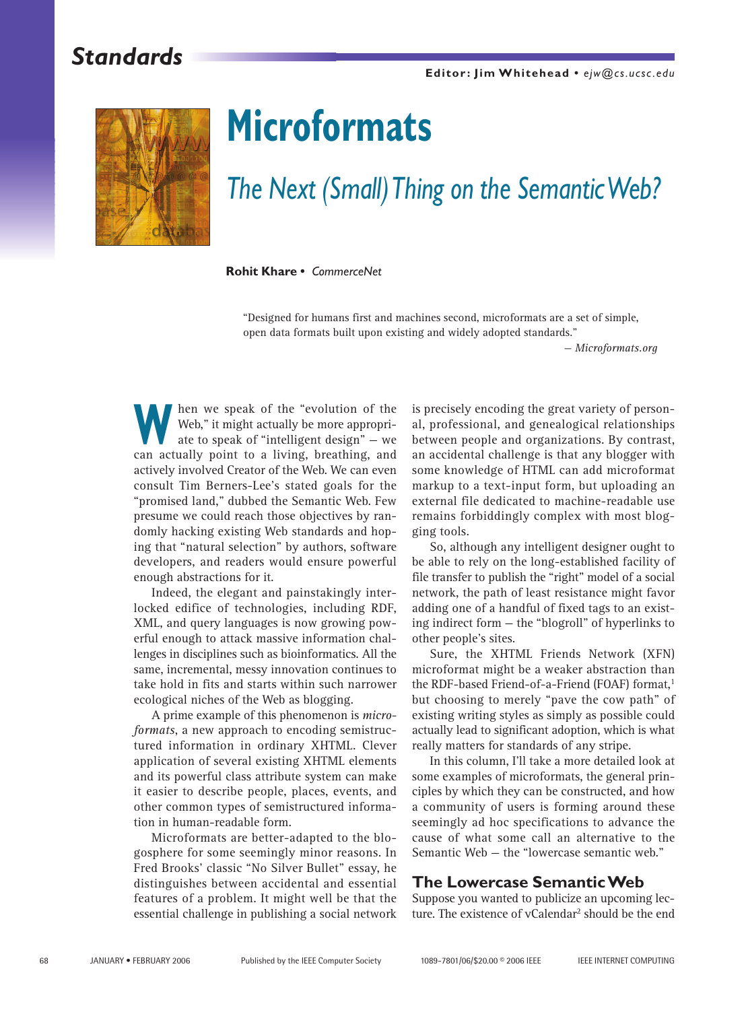## *Standards*



# **Microformats**

# *The Next (Small) Thing on the Semantic Web?*

**Rohit Khare •** *CommerceNet*

"Designed for humans first and machines second, microformats are a set of simple, open data formats built upon existing and widely adopted standards."

*— Microformats.org*

Web," it might actually be more appropri-<br>ate to speak of "intelligent design" – we<br>are estually point to a living brathing and Web," it might actually be more approprican actually point to a living, breathing, and actively involved Creator of the Web. We can even consult Tim Berners-Lee's stated goals for the "promised land," dubbed the Semantic Web. Few presume we could reach those objectives by randomly hacking existing Web standards and hoping that "natural selection" by authors, software developers, and readers would ensure powerful enough abstractions for it.

Indeed, the elegant and painstakingly interlocked edifice of technologies, including RDF, XML, and query languages is now growing powerful enough to attack massive information challenges in disciplines such as bioinformatics. All the same, incremental, messy innovation continues to take hold in fits and starts within such narrower ecological niches of the Web as blogging.

A prime example of this phenomenon is *microformats*, a new approach to encoding semistructured information in ordinary XHTML. Clever application of several existing XHTML elements and its powerful class attribute system can make it easier to describe people, places, events, and other common types of semistructured information in human-readable form.

Microformats are better-adapted to the blogosphere for some seemingly minor reasons. In Fred Brooks' classic "No Silver Bullet" essay, he distinguishes between accidental and essential features of a problem. It might well be that the essential challenge in publishing a social network

is precisely encoding the great variety of personal, professional, and genealogical relationships between people and organizations. By contrast, an accidental challenge is that any blogger with some knowledge of HTML can add microformat markup to a text-input form, but uploading an external file dedicated to machine-readable use remains forbiddingly complex with most blogging tools.

So, although any intelligent designer ought to be able to rely on the long-established facility of file transfer to publish the "right" model of a social network, the path of least resistance might favor adding one of a handful of fixed tags to an existing indirect form — the "blogroll" of hyperlinks to other people's sites.

Sure, the XHTML Friends Network (XFN) microformat might be a weaker abstraction than the RDF-based Friend-of-a-Friend (FOAF) format,<sup>1</sup> but choosing to merely "pave the cow path" of existing writing styles as simply as possible could actually lead to significant adoption, which is what really matters for standards of any stripe.

In this column, I'll take a more detailed look at some examples of microformats, the general principles by which they can be constructed, and how a community of users is forming around these seemingly ad hoc specifications to advance the cause of what some call an alternative to the Semantic Web — the "lowercase semantic web."

## **The Lowercase Semantic Web**

Suppose you wanted to publicize an upcoming lecture. The existence of vCalendar<sup>2</sup> should be the end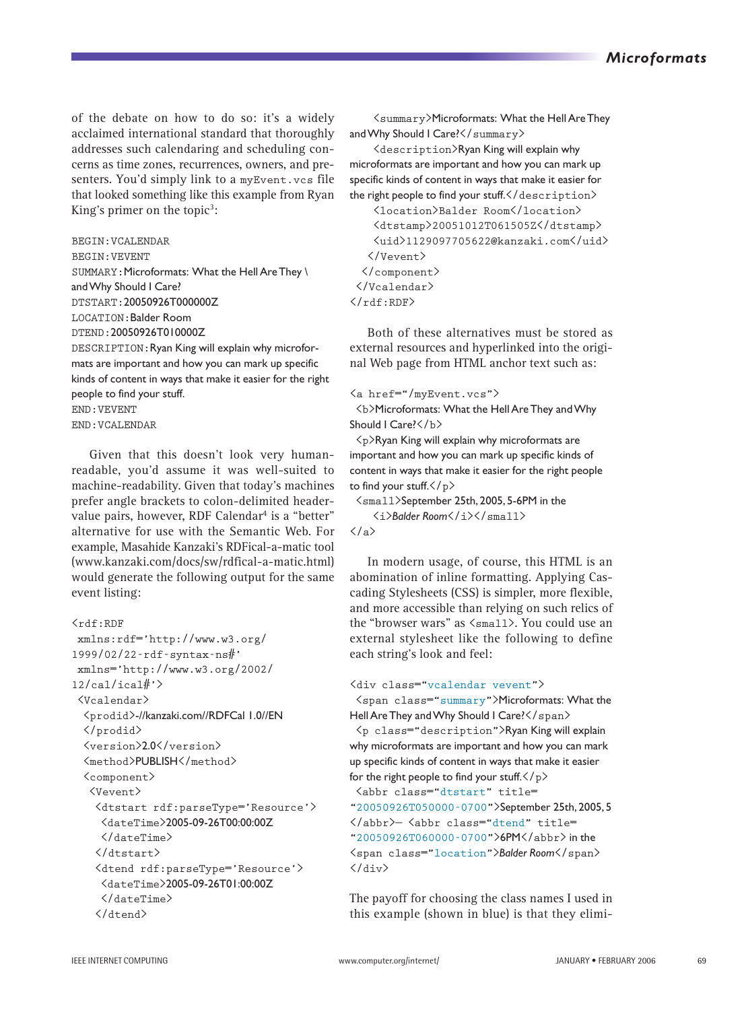of the debate on how to do so: it's a widely acclaimed international standard that thoroughly addresses such calendaring and scheduling concerns as time zones, recurrences, owners, and presenters. You'd simply link to a **myEvent.vcs** file that looked something like this example from Ryan King's primer on the topic<sup>3</sup>:

**BEGIN:VCALENDAR**

**BEGIN:VEVENT**

**SUMMARY:**Microformats: What the Hell Are They \ and Why Should I Care? **DTSTART:**20050926T000000Z **LOCATION:**Balder Room **DTEND:**20050926T010000Z **DESCRIPTION:**Ryan King will explain why microformats are important and how you can mark up specific

kinds of content in ways that make it easier for the right people to find your stuff. **END:VEVENT END:VCALENDAR**

Given that this doesn't look very humanreadable, you'd assume it was well-suited to machine-readability. Given that today's machines prefer angle brackets to colon-delimited headervalue pairs, however, RDF Calendar<sup>4</sup> is a "better" alternative for use with the Semantic Web. For example, Masahide Kanzaki's RDFical-a-matic tool (www.kanzaki.com/docs/sw/rdfical-a-matic.html) would generate the following output for the same event listing:

```
<rdf:RDF 
xmlns:rdf='http://www.w3.org/
1999/02/22-rdf-syntax-ns#'
xmlns='http://www.w3.org/2002/
12/cal/ical#'>
<Vcalendar>
 <prodid>-//kanzaki.com//RDFCal 1.0//EN 
 </prodid>
 <version>2.0</version>
  <method>PUBLISH</method>
 <component>
  <Vevent>
   <dtstart rdf:parseType='Resource'>
    <dateTime>2005-09-26T00:00:00Z
    </dateTime>
   </dtstart>
   <dtend rdf:parseType='Resource'>
    <dateTime>2005-09-26T01:00:00Z
    </dateTime>
   </dtend>
```
**<summary>**Microformats: What the Hell Are They and Why Should I Care?</summary>

**<description>**Ryan King will explain why microformats are important and how you can mark up specific kinds of content in ways that make it easier for the right people to find your stuff.**</description>**

```
<location>Balder Room</location>
   <dtstamp>20051012T061505Z</dtstamp>
   <uid>1129097705622@kanzaki.com</uid>
  </Vevent>
 </component>
</Vcalendar>
</rdf:RDF>
```
Both of these alternatives must be stored as external resources and hyperlinked into the original Web page from HTML anchor text such as:

```
<a href="/myEvent.vcs">
```
**<b>**Microformats: What the Hell Are They and Why Should I Care?**</b>**

**<p>**Ryan King will explain why microformats are important and how you can mark up specific kinds of content in ways that make it easier for the right people to find your stuff.**</p>**

**<small>**September 25th, 2005, 5-6PM in the **<i>***Balder Room***</i></small>**

**</a>**

In modern usage, of course, this HTML is an abomination of inline formatting. Applying Cascading Stylesheets (CSS) is simpler, more flexible, and more accessible than relying on such relics of the "browser wars" as  $\langle \text{small} \rangle$ . You could use an external stylesheet like the following to define each string's look and feel:

```
<div class="vcalendar vevent">
 <span class="summary">Microformats: What the
Hell Are They and Why Should I Care?</span>
 <p class="description">Ryan King will explain
why microformats are important and how you can mark
up specific kinds of content in ways that make it easier
for the right people to find your stuff.</p>
 <abbr class="dtstart" title=
"20050926T050000-0700">September 25th, 2005, 5
</abbr>— <abbr class="dtend" title=
"20050926T060000-0700">6PM</abbr> in the
<span class="location">Balder Room</span>
</div>
```
The payoff for choosing the class names I used in this example (shown in blue) is that they elimi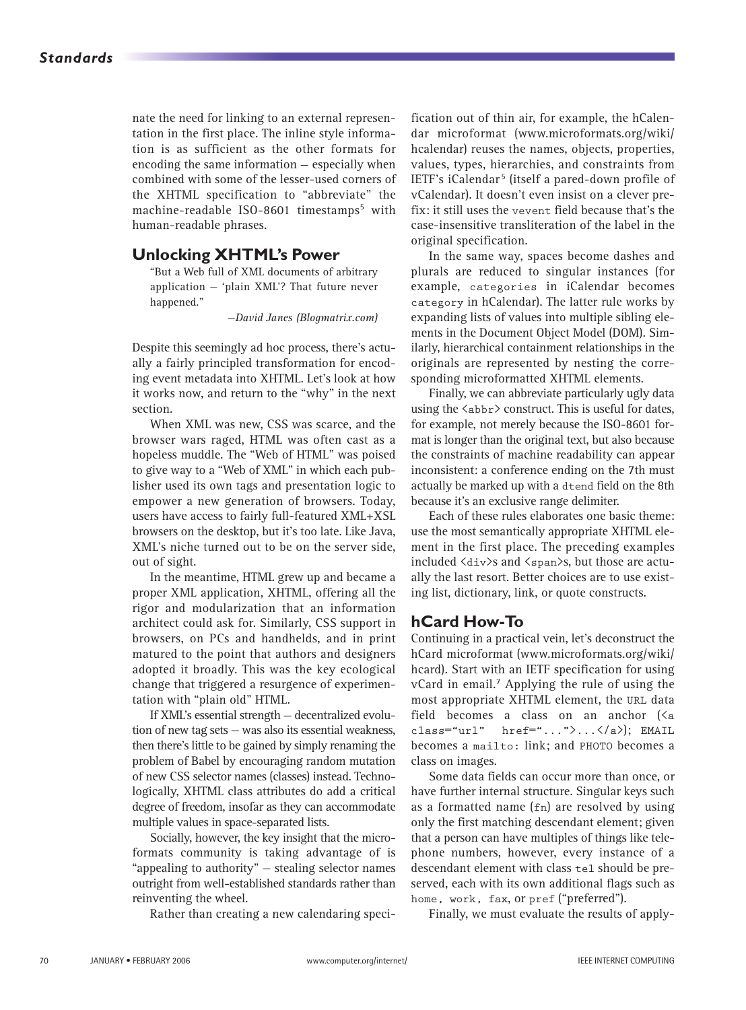nate the need for linking to an external representation in the first place. The inline style information is as sufficient as the other formats for encoding the same information — especially when combined with some of the lesser-used corners of the XHTML specification to "abbreviate" the machine-readable ISO-8601 timestamps<sup>5</sup> with human-readable phrases.

## **Unlocking XHTML's Power**

"But a Web full of XML documents of arbitrary application — 'plain XML'? That future never happened."

*—David Janes (Blogmatrix.com)*

Despite this seemingly ad hoc process, there's actually a fairly principled transformation for encoding event metadata into XHTML. Let's look at how it works now, and return to the "why" in the next section.

When XML was new, CSS was scarce, and the browser wars raged, HTML was often cast as a hopeless muddle. The "Web of HTML" was poised to give way to a "Web of XML" in which each publisher used its own tags and presentation logic to empower a new generation of browsers. Today, users have access to fairly full-featured XML+XSL browsers on the desktop, but it's too late. Like Java, XML's niche turned out to be on the server side, out of sight.

In the meantime, HTML grew up and became a proper XML application, XHTML, offering all the rigor and modularization that an information architect could ask for. Similarly, CSS support in browsers, on PCs and handhelds, and in print matured to the point that authors and designers adopted it broadly. This was the key ecological change that triggered a resurgence of experimentation with "plain old" HTML.

If XML's essential strength — decentralized evolution of new tag sets — was also its essential weakness, then there's little to be gained by simply renaming the problem of Babel by encouraging random mutation of new CSS selector names (classes) instead. Technologically, XHTML class attributes do add a critical degree of freedom, insofar as they can accommodate multiple values in space-separated lists.

Socially, however, the key insight that the microformats community is taking advantage of is "appealing to authority" — stealing selector names outright from well-established standards rather than reinventing the wheel.

Rather than creating a new calendaring speci-

fication out of thin air, for example, the hCalendar microformat (www.microformats.org/wiki/ hcalendar) reuses the names, objects, properties, values, types, hierarchies, and constraints from IETF's iCalendar<sup>5</sup> (itself a pared-down profile of vCalendar). It doesn't even insist on a clever prefix: it still uses the **vevent** field because that's the case-insensitive transliteration of the label in the original specification.

In the same way, spaces become dashes and plurals are reduced to singular instances (for example, **categories** in iCalendar becomes **category** in hCalendar). The latter rule works by expanding lists of values into multiple sibling elements in the Document Object Model (DOM). Similarly, hierarchical containment relationships in the originals are represented by nesting the corresponding microformatted XHTML elements.

Finally, we can abbreviate particularly ugly data using the  $\langle$ abbr> construct. This is useful for dates, for example, not merely because the ISO-8601 format is longer than the original text, but also because the constraints of machine readability can appear inconsistent: a conference ending on the 7th must actually be marked up with a **dtend** field on the 8th because it's an exclusive range delimiter.

Each of these rules elaborates one basic theme: use the most semantically appropriate XHTML element in the first place. The preceding examples included **<div>**s and **<span>**s, but those are actually the last resort. Better choices are to use existing list, dictionary, link, or quote constructs.

#### **hCard How-To**

Continuing in a practical vein, let's deconstruct the hCard microformat (www.microformats.org/wiki/ hcard). Start with an IETF specification for using vCard in email.7 Applying the rule of using the most appropriate XHTML element, the **URL** data field becomes a class on an anchor (**<a class="url" href="...">...</a>**); **EMAIL** becomes a **mailto:** link; and **PHOTO** becomes a class on images.

Some data fields can occur more than once, or have further internal structure. Singular keys such as a formatted name (**fn**) are resolved by using only the first matching descendant element; given that a person can have multiples of things like telephone numbers, however, every instance of a descendant element with class **tel** should be preserved, each with its own additional flags such as **home, work, fax**, or **pref** ("preferred").

Finally, we must evaluate the results of apply-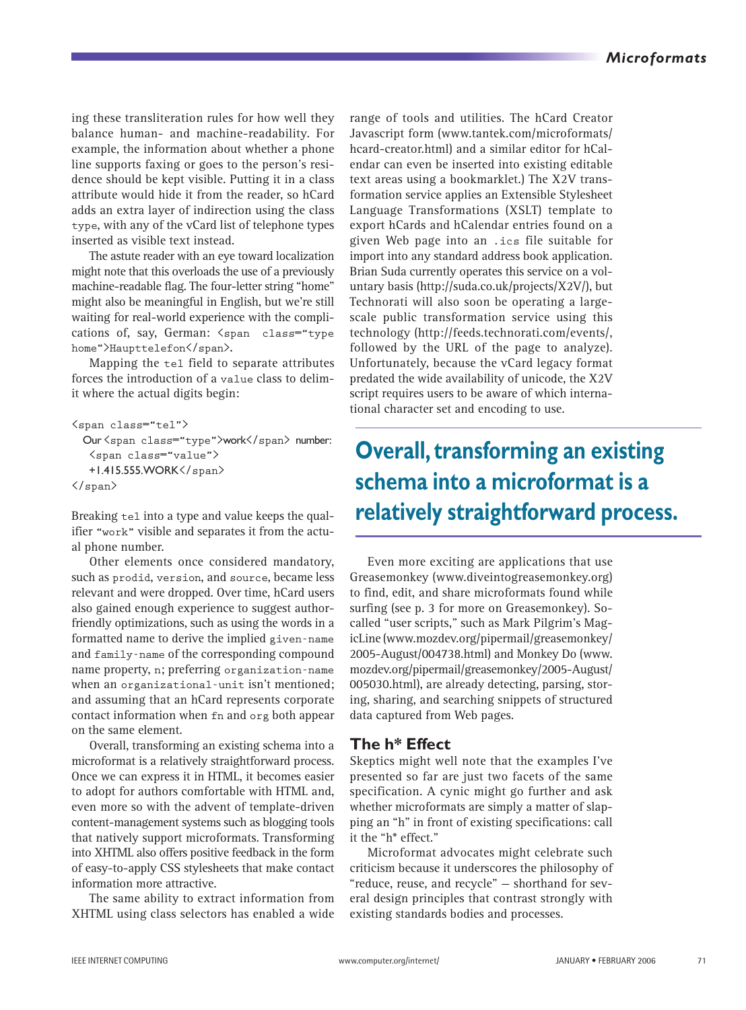ing these transliteration rules for how well they balance human- and machine-readability. For example, the information about whether a phone line supports faxing or goes to the person's residence should be kept visible. Putting it in a class attribute would hide it from the reader, so hCard adds an extra layer of indirection using the class **type**, with any of the vCard list of telephone types inserted as visible text instead.

The astute reader with an eye toward localization might note that this overloads the use of a previously machine-readable flag. The four-letter string "home" might also be meaningful in English, but we're still waiting for real-world experience with the complications of, say, German:  $\langle$ span class="type **home">Haupttelefon</span>**.

Mapping the **tel** field to separate attributes forces the introduction of a **value** class to delimit where the actual digits begin:

```
<span class="tel">
```

```
Our <span class="type">work</span> number:
  <span class="value">
  +1.415.555.WORK</span>
</span>
```
Breaking **tel** into a type and value keeps the qualifier **"work"** visible and separates it from the actual phone number.

Other elements once considered mandatory, such as **prodid**, **version**, and **source**, became less relevant and were dropped. Over time, hCard users also gained enough experience to suggest authorfriendly optimizations, such as using the words in a formatted name to derive the implied **given-name** and **family-name** of the corresponding compound name property, **n**; preferring **organization-name** when an **organizational-unit** isn't mentioned; and assuming that an hCard represents corporate contact information when **fn** and **org** both appear on the same element.

Overall, transforming an existing schema into a microformat is a relatively straightforward process. Once we can express it in HTML, it becomes easier to adopt for authors comfortable with HTML and, even more so with the advent of template-driven content-management systems such as blogging tools that natively support microformats. Transforming into XHTML also offers positive feedback in the form of easy-to-apply CSS stylesheets that make contact information more attractive.

The same ability to extract information from XHTML using class selectors has enabled a wide range of tools and utilities. The hCard Creator Javascript form (www.tantek.com/microformats/ hcard-creator.html) and a similar editor for hCalendar can even be inserted into existing editable text areas using a bookmarklet.) The X2V transformation service applies an Extensible Stylesheet Language Transformations (XSLT) template to export hCards and hCalendar entries found on a given Web page into an **.ics** file suitable for import into any standard address book application. Brian Suda currently operates this service on a voluntary basis (http://suda.co.uk/projects/X2V/), but Technorati will also soon be operating a largescale public transformation service using this technology (http://feeds.technorati.com/events/, followed by the URL of the page to analyze). Unfortunately, because the vCard legacy format predated the wide availability of unicode, the X2V script requires users to be aware of which international character set and encoding to use.

## **Overall, transforming an existing schema into a microformat is a relatively straightforward process.**

Even more exciting are applications that use Greasemonkey (www.diveintogreasemonkey.org) to find, edit, and share microformats found while surfing (see p. 3 for more on Greasemonkey). Socalled "user scripts," such as Mark Pilgrim's MagicLine (www.mozdev.org/pipermail/greasemonkey/ 2005-August/004738.html) and Monkey Do (www. mozdev.org/pipermail/greasemonkey/2005-August/ 005030.html), are already detecting, parsing, storing, sharing, and searching snippets of structured data captured from Web pages.

## **The h\* Effect**

Skeptics might well note that the examples I've presented so far are just two facets of the same specification. A cynic might go further and ask whether microformats are simply a matter of slapping an "h" in front of existing specifications: call it the "h\* effect."

Microformat advocates might celebrate such criticism because it underscores the philosophy of "reduce, reuse, and recycle" — shorthand for several design principles that contrast strongly with existing standards bodies and processes.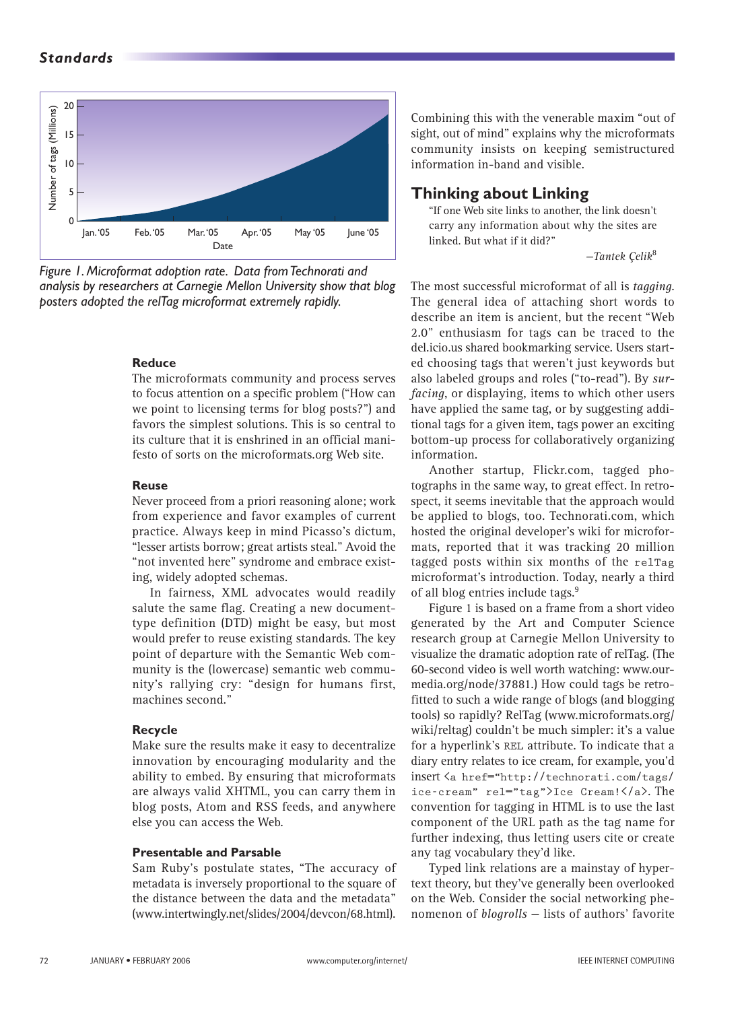#### *Standards*



*Figure 1. Microformat adoption rate. Data from Technorati and analysis by researchers at Carnegie Mellon University show that blog posters adopted the relTag microformat extremely rapidly.*

#### **Reduce**

The microformats community and process serves to focus attention on a specific problem ("How can we point to licensing terms for blog posts?") and favors the simplest solutions. This is so central to its culture that it is enshrined in an official manifesto of sorts on the microformats.org Web site.

#### **Reuse**

Never proceed from a priori reasoning alone; work from experience and favor examples of current practice. Always keep in mind Picasso's dictum, "lesser artists borrow; great artists steal." Avoid the "not invented here" syndrome and embrace existing, widely adopted schemas.

In fairness, XML advocates would readily salute the same flag. Creating a new documenttype definition (DTD) might be easy, but most would prefer to reuse existing standards. The key point of departure with the Semantic Web community is the (lowercase) semantic web community's rallying cry: "design for humans first, machines second."

#### **Recycle**

Make sure the results make it easy to decentralize innovation by encouraging modularity and the ability to embed. By ensuring that microformats are always valid XHTML, you can carry them in blog posts, Atom and RSS feeds, and anywhere else you can access the Web.

#### **Presentable and Parsable**

Sam Ruby's postulate states, "The accuracy of metadata is inversely proportional to the square of the distance between the data and the metadata" (www.intertwingly.net/slides/2004/devcon/68.html).

Combining this with the venerable maxim "out of sight, out of mind" explains why the microformats community insists on keeping semistructured information in-band and visible.

#### **Thinking about Linking**

"If one Web site links to another, the link doesn't carry any information about why the sites are linked. But what if it did?"

*—Tantek Çelik*<sup>8</sup>

The most successful microformat of all is *tagging*. The general idea of attaching short words to describe an item is ancient, but the recent "Web 2.0" enthusiasm for tags can be traced to the del.icio.us shared bookmarking service. Users started choosing tags that weren't just keywords but also labeled groups and roles ("to-read"). By *surfacing*, or displaying, items to which other users have applied the same tag, or by suggesting additional tags for a given item, tags power an exciting bottom-up process for collaboratively organizing information.

Another startup, Flickr.com, tagged photographs in the same way, to great effect. In retrospect, it seems inevitable that the approach would be applied to blogs, too. Technorati.com, which hosted the original developer's wiki for microformats, reported that it was tracking 20 million tagged posts within six months of the **relTag** microformat's introduction. Today, nearly a third of all blog entries include tags.<sup>9</sup>

Figure 1 is based on a frame from a short video generated by the Art and Computer Science research group at Carnegie Mellon University to visualize the dramatic adoption rate of relTag. (The 60-second video is well worth watching: www.ourmedia.org/node/37881.) How could tags be retrofitted to such a wide range of blogs (and blogging tools) so rapidly? RelTag (www.microformats.org/ wiki/reltag) couldn't be much simpler: it's a value for a hyperlink's **REL** attribute. To indicate that a diary entry relates to ice cream, for example, you'd insert **<a href="http://technorati.com/tags/ ice-cream" rel="tag">Ice Cream!</a>**. The convention for tagging in HTML is to use the last component of the URL path as the tag name for further indexing, thus letting users cite or create any tag vocabulary they'd like.

Typed link relations are a mainstay of hypertext theory, but they've generally been overlooked on the Web. Consider the social networking phenomenon of *blogrolls* — lists of authors' favorite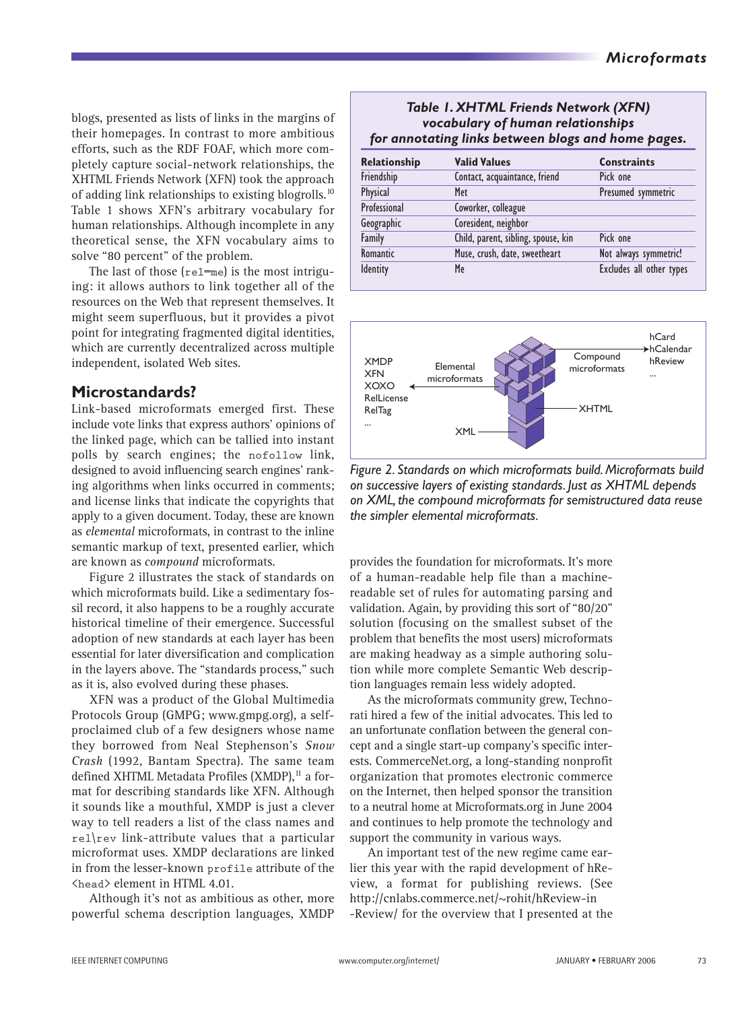blogs, presented as lists of links in the margins of their homepages. In contrast to more ambitious efforts, such as the RDF FOAF, which more completely capture social-network relationships, the XHTML Friends Network (XFN) took the approach of adding link relationships to existing blogrolls.10 Table 1 shows XFN's arbitrary vocabulary for human relationships. Although incomplete in any theoretical sense, the XFN vocabulary aims to solve "80 percent" of the problem.

The last of those (**rel=me**) is the most intriguing: it allows authors to link together all of the resources on the Web that represent themselves. It might seem superfluous, but it provides a pivot point for integrating fragmented digital identities, which are currently decentralized across multiple independent, isolated Web sites.

## **Microstandards?**

Link-based microformats emerged first. These include vote links that express authors' opinions of the linked page, which can be tallied into instant polls by search engines; the **nofollow** link, designed to avoid influencing search engines' ranking algorithms when links occurred in comments; and license links that indicate the copyrights that apply to a given document. Today, these are known as *elemental* microformats, in contrast to the inline semantic markup of text, presented earlier, which are known as *compound* microformats.

Figure 2 illustrates the stack of standards on which microformats build. Like a sedimentary fossil record, it also happens to be a roughly accurate historical timeline of their emergence. Successful adoption of new standards at each layer has been essential for later diversification and complication in the layers above. The "standards process," such as it is, also evolved during these phases.

XFN was a product of the Global Multimedia Protocols Group (GMPG; www.gmpg.org), a selfproclaimed club of a few designers whose name they borrowed from Neal Stephenson's *Snow Crash* (1992, Bantam Spectra). The same team defined XHTML Metadata Profiles (XMDP),<sup>11</sup> a format for describing standards like XFN. Although it sounds like a mouthful, XMDP is just a clever way to tell readers a list of the class names and **rel**\**rev** link-attribute values that a particular microformat uses. XMDP declarations are linked in from the lesser-known **profile** attribute of the **<head>** element in HTML 4.01.

Although it's not as ambitious as other, more powerful schema description languages, XMDP

| vocabulary of human relationships<br>for annotating links between blogs and home pages. |                               |                    |  |  |
|-----------------------------------------------------------------------------------------|-------------------------------|--------------------|--|--|
| Relationship                                                                            | <b>Valid Values</b>           | <b>Constraints</b> |  |  |
| Friendship                                                                              | Contact, acquaintance, friend | Pick one           |  |  |
| Physical                                                                                | Met                           | Presumed symmetric |  |  |
| Professional                                                                            | Coworker, colleague           |                    |  |  |
| Generanhic                                                                              | Coracidant naighbor           |                    |  |  |

*Table 1. XHTML Friends Network (XFN)* 

| 11 VILJJIVIIUI  | CONDITION, CONCUÇUC                 |                          |
|-----------------|-------------------------------------|--------------------------|
| Geographic      | Coresident, neighbor                |                          |
| Family          | Child, parent, sibling, spouse, kin | Pick one                 |
| Romantic        | Muse, crush, date, sweetheart       | Not always symmetric!    |
| <b>Identity</b> | Me                                  | Excludes all other types |
|                 |                                     |                          |
|                 |                                     |                          |
|                 |                                     |                          |



*Figure 2. Standards on which microformats build. Microformats build on successive layers of existing standards. Just as XHTML depends on XML, the compound microformats for semistructured data reuse the simpler elemental microformats.*

provides the foundation for microformats. It's more of a human-readable help file than a machinereadable set of rules for automating parsing and validation. Again, by providing this sort of "80/20" solution (focusing on the smallest subset of the problem that benefits the most users) microformats are making headway as a simple authoring solution while more complete Semantic Web description languages remain less widely adopted.

As the microformats community grew, Technorati hired a few of the initial advocates. This led to an unfortunate conflation between the general concept and a single start-up company's specific interests. CommerceNet.org, a long-standing nonprofit organization that promotes electronic commerce on the Internet, then helped sponsor the transition to a neutral home at Microformats.org in June 2004 and continues to help promote the technology and support the community in various ways.

An important test of the new regime came earlier this year with the rapid development of hReview, a format for publishing reviews. (See http://cnlabs.commerce.net/~rohit/hReview-in -Review/ for the overview that I presented at the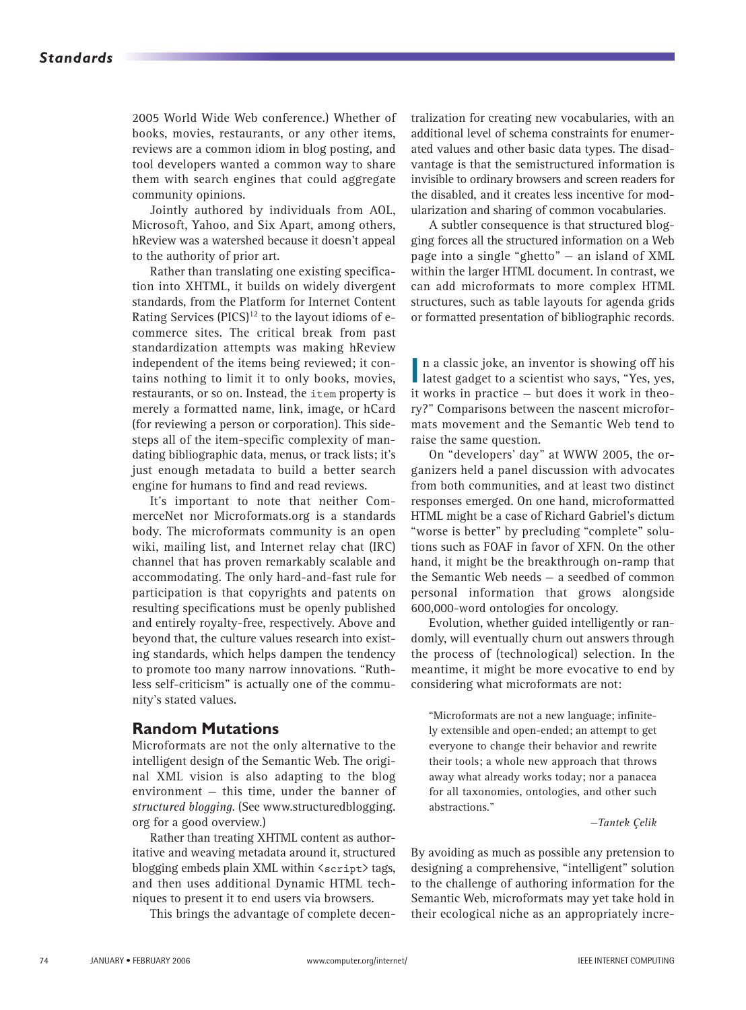2005 World Wide Web conference.) Whether of books, movies, restaurants, or any other items, reviews are a common idiom in blog posting, and tool developers wanted a common way to share them with search engines that could aggregate community opinions.

Jointly authored by individuals from AOL, Microsoft, Yahoo, and Six Apart, among others, hReview was a watershed because it doesn't appeal to the authority of prior art.

Rather than translating one existing specification into XHTML, it builds on widely divergent standards, from the Platform for Internet Content Rating Services (PICS) $12$  to the layout idioms of ecommerce sites. The critical break from past standardization attempts was making hReview independent of the items being reviewed; it contains nothing to limit it to only books, movies, restaurants, or so on. Instead, the **item** property is merely a formatted name, link, image, or hCard (for reviewing a person or corporation). This sidesteps all of the item-specific complexity of mandating bibliographic data, menus, or track lists; it's just enough metadata to build a better search engine for humans to find and read reviews.

It's important to note that neither CommerceNet nor Microformats.org is a standards body. The microformats community is an open wiki, mailing list, and Internet relay chat (IRC) channel that has proven remarkably scalable and accommodating. The only hard-and-fast rule for participation is that copyrights and patents on resulting specifications must be openly published and entirely royalty-free, respectively. Above and beyond that, the culture values research into existing standards, which helps dampen the tendency to promote too many narrow innovations. "Ruthless self-criticism" is actually one of the community's stated values.

## **Random Mutations**

Microformats are not the only alternative to the intelligent design of the Semantic Web. The original XML vision is also adapting to the blog environment — this time, under the banner of *structured blogging*. (See www.structuredblogging. org for a good overview.)

Rather than treating XHTML content as authoritative and weaving metadata around it, structured blogging embeds plain XML within **<script>** tags, and then uses additional Dynamic HTML techniques to present it to end users via browsers.

This brings the advantage of complete decen-

tralization for creating new vocabularies, with an additional level of schema constraints for enumerated values and other basic data types. The disadvantage is that the semistructured information is invisible to ordinary browsers and screen readers for the disabled, and it creates less incentive for modularization and sharing of common vocabularies.

A subtler consequence is that structured blogging forces all the structured information on a Web page into a single "ghetto" — an island of XML within the larger HTML document. In contrast, we can add microformats to more complex HTML structures, such as table layouts for agenda grids or formatted presentation of bibliographic records.

**I** n a classic joke, an inventor is showing off his latest gadget to a scientist who says, "Yes, yes, it works in practice — but does it work in theory?" Comparisons between the nascent microformats movement and the Semantic Web tend to raise the same question.

On "developers' day" at WWW 2005, the organizers held a panel discussion with advocates from both communities, and at least two distinct responses emerged. On one hand, microformatted HTML might be a case of Richard Gabriel's dictum "worse is better" by precluding "complete" solutions such as FOAF in favor of XFN. On the other hand, it might be the breakthrough on-ramp that the Semantic Web needs — a seedbed of common personal information that grows alongside 600,000-word ontologies for oncology.

Evolution, whether guided intelligently or randomly, will eventually churn out answers through the process of (technological) selection. In the meantime, it might be more evocative to end by considering what microformats are not:

"Microformats are not a new language; infinitely extensible and open-ended; an attempt to get everyone to change their behavior and rewrite their tools; a whole new approach that throws away what already works today; nor a panacea for all taxonomies, ontologies, and other such abstractions."

*—Tantek Çelik*

By avoiding as much as possible any pretension to designing a comprehensive, "intelligent" solution to the challenge of authoring information for the Semantic Web, microformats may yet take hold in their ecological niche as an appropriately incre-